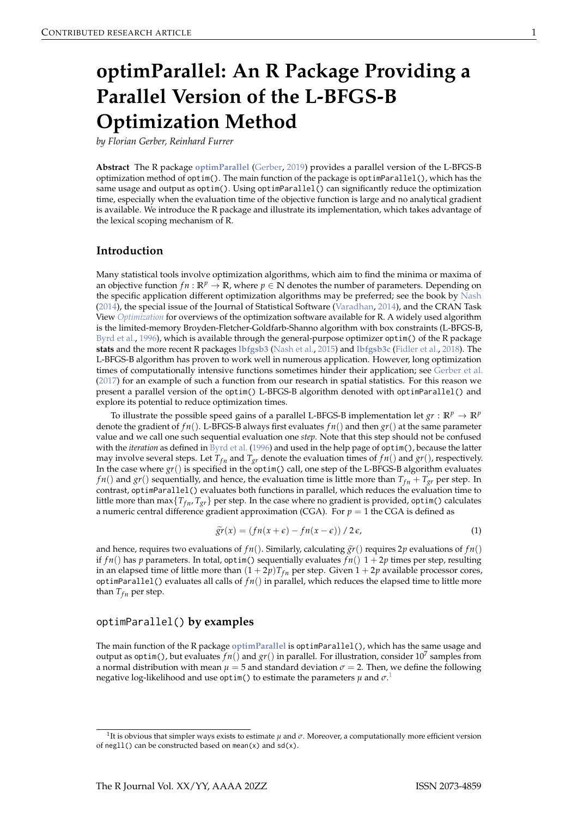# <span id="page-0-0"></span>**optimParallel: An R Package Providing a Parallel Version of the L-BFGS-B Optimization Method**

*by Florian Gerber, Reinhard Furrer*

**Abstract** The R package **[optimParallel](https://CRAN.R-project.org/package=optimParallel)** [\(Gerber,](#page-5-0) [2019\)](#page-5-0) provides a parallel version of the L-BFGS-B optimization method of optim(). The main function of the package is optimParallel(), which has the same usage and output as optim(). Using optimParallel() can significantly reduce the optimization time, especially when the evaluation time of the objective function is large and no analytical gradient is available. We introduce the R package and illustrate its implementation, which takes advantage of the lexical scoping mechanism of R.

### **Introduction**

Many statistical tools involve optimization algorithms, which aim to find the minima or maxima of an objective function  $fn : \mathbb{R}^p \to \mathbb{R}$ , where  $p \in \mathbb{N}$  denotes the number of parameters. Depending on the specific application different optimization algorithms may be preferred; see the book by [Nash](#page-5-1) [\(2014\)](#page-5-1), the special issue of the Journal of Statistical Software [\(Varadhan,](#page-5-2) [2014\)](#page-5-2), and the CRAN Task View *[Optimization](https://CRAN.R-project.org/view=Optimization)* for overviews of the optimization software available for R. A widely used algorithm is the limited-memory Broyden-Fletcher-Goldfarb-Shanno algorithm with box constraints (L-BFGS-B, [Byrd et al.,](#page-5-3) [1996\)](#page-5-3), which is available through the general-purpose optimizer optim() of the R package **stats** and the more recent R packages **[lbfgsb3](https://CRAN.R-project.org/package=lbfgsb3)** [\(Nash et al.,](#page-5-4) [2015\)](#page-5-4) and **[lbfgsb3c](https://CRAN.R-project.org/package=lbfgsb3c)** [\(Fidler et al.,](#page-5-5) [2018\)](#page-5-5). The L-BFGS-B algorithm has proven to work well in numerous application. However, long optimization times of computationally intensive functions sometimes hinder their application; see [Gerber et al.](#page-5-6) [\(2017\)](#page-5-6) for an example of such a function from our research in spatial statistics. For this reason we present a parallel version of the optim() L-BFGS-B algorithm denoted with optimParallel() and explore its potential to reduce optimization times.

To illustrate the possible speed gains of a parallel L-BFGS-B implementation let  $gr : \mathbb{R}^p \to \mathbb{R}^p$ denote the gradient of *f n*(). L-BFGS-B always first evaluates *f n*() and then *gr*() at the same parameter value and we call one such sequential evaluation one *step*. Note that this step should not be confused with the *iteration* as defined in [Byrd et al.](#page-5-3) [\(1996\)](#page-5-3) and used in the help page of optim(), because the latter may involve several steps. Let  $T_{fn}$  and  $T_{gr}$  denote the evaluation times of  $fn()$  and  $gr()$ , respectively. In the case where *gr*() is specified in the optim() call, one step of the L-BFGS-B algorithm evaluates *f n*() and *gr*() sequentially, and hence, the evaluation time is little more than  $T_{fn} + T_{gr}$  per step. In contrast, optimParallel() evaluates both functions in parallel, which reduces the evaluation time to little more than max $\{T_{fn}, T_{gr}\}$  per step. In the case where no gradient is provided, optim() calculates a numeric central difference gradient approximation (CGA). For  $p = 1$  the CGA is defined as

$$
\widetilde{gr}(x) = (fn(x + \epsilon) - fn(x - \epsilon)) / 2\epsilon,
$$
\n(1)

and hence, requires two evaluations of  $fn()$ . Similarly, calculating  $\tilde{gr}()$  requires 2*p* evaluations of  $fn()$ if  $fn()$  has *p* parameters. In total, optim() sequentially evaluates  $fn()$  1 + 2*p* times per step, resulting in an elapsed time of little more than  $(1 + 2p)T_{fn}$  per step. Given  $1 + 2p$  available processor cores, optimParallel() evaluates all calls of  $fn()$  in parallel, which reduces the elapsed time to little more than  $T_{fn}$  per step.

### optimParallel() **by examples**

The main function of the R package **[optimParallel](https://CRAN.R-project.org/package=optimParallel)** is optimParallel(), which has the same usage and output as optim(), but evaluates  $fn()$  and  $gr()$  in parallel. For illustration, consider 10<sup>7</sup> samples from a normal distribution with mean  $\mu = 5$  and standard deviation  $\sigma = 2$ . Then, we define the following negative log-likelihood and use optim() to estimate the parameters  $\mu$  and  $\sigma^{.1}$ 

<sup>1</sup> It is obvious that simpler ways exists to estimate *µ* and *σ*. Moreover, a computationally more efficient version of negll() can be constructed based on mean(x) and  $sd(x)$ .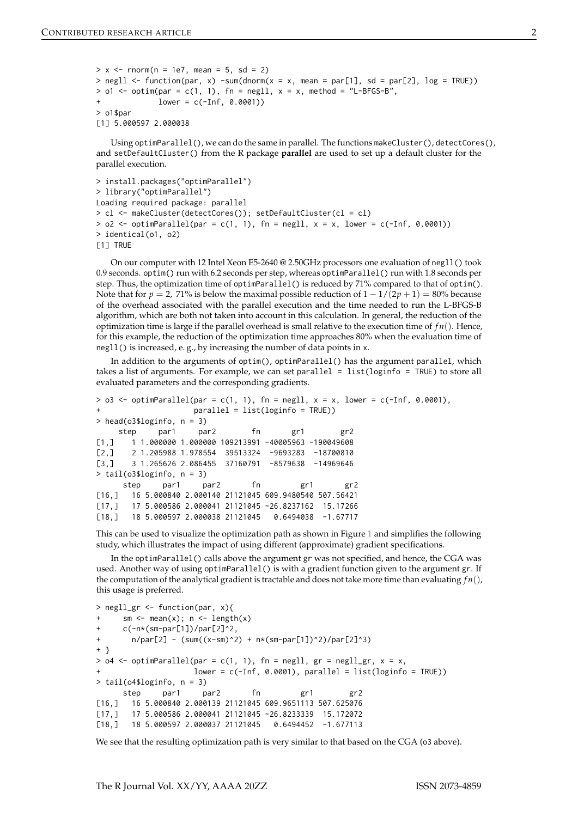```
> x < - rnorm(n = 1e7, mean = 5, sd = 2)
> negll \le function(par, x) -sum(dnorm(x = x, mean = par[1], sd = par[2], log = TRUE))
> o1 \le - optim(par = c(1, 1), fn = negll, x = x, method = "L-BFGS-B",
              lower = c(-Inf, 0.0001))> o1$par
[1] 5.000597 2.000038
```
Using optimParallel(), we can do the same in parallel. The functions makeCluster(), detectCores(), and setDefaultCluster() from the R package **parallel** are used to set up a default cluster for the parallel execution.

```
> install.packages("optimParallel")
> library("optimParallel")
Loading required package: parallel
> cl <- makeCluster(detectCores()); setDefaultCluster(cl = cl)
> o2 <- optimParallel(par = c(1, 1), fn = negll, x = x, lower = c(-Inf, 0.0001))
> identical(o1, o2)
[1] TRUE
```
On our computer with 12 Intel Xeon E5-2640 @ 2.50GHz processors one evaluation of negll() took 0.9 seconds. optim() run with 6.2 seconds per step, whereas optimParallel() run with 1.8 seconds per step. Thus, the optimization time of optimParallel() is reduced by  $71\%$  compared to that of optim(). Note that for  $p = 2$ , 71% is below the maximal possible reduction of  $1 - 1/(2p + 1) = 80%$  because of the overhead associated with the parallel execution and the time needed to run the L-BFGS-B algorithm, which are both not taken into account in this calculation. In general, the reduction of the optimization time is large if the parallel overhead is small relative to the execution time of  $fn()$ . Hence, for this example, the reduction of the optimization time approaches 80% when the evaluation time of negll() is increased, e. g., by increasing the number of data points in x.

In addition to the arguments of optim(), optimParallel() has the argument parallel, which takes a list of arguments. For example, we can set parallel = list(loginfo = TRUE) to store all evaluated parameters and the corresponding gradients.

```
> o3 \le optimParallel(par = c(1, 1), fn = negll, x = x, lower = c(-Inf, 0.0001),
+ parallel = list(loginfo = TRUE))
> head(o3$loginfo, n = 3)
    step par1 par2 fn gr1 gr2
[1,] 1 1.000000 1.000000 109213991 -40005963 -190049608
[2,] 2 1.205988 1.978554 39513324 -9693283 -18700810
[3,] 3 1.265626 2.086455 37160791 -8579638 -14969646
> tail(o3$loginfo, n = 3)
     step par1 par2 fn gr1 gr2
[16,] 16 5.000840 2.000140 21121045 609.9480540 507.56421
[17,] 17 5.000586 2.000041 21121045 -26.8237162 15.17266
[18,] 18 5.000597 2.000038 21121045 0.6494038 -1.67717
```
This can be used to visualize the optimization path as shown in Figure [1](#page-2-0) and simplifies the following study, which illustrates the impact of using different (approximate) gradient specifications.

In the optimParallel() calls above the argument gr was not specified, and hence, the CGA was used. Another way of using optimParallel() is with a gradient function given to the argument gr. If the computation of the analytical gradient is tractable and does not take more time than evaluating *f n*(), this usage is preferred.

```
> negll_gr <- function(par, x){
     sm \leftarrow \text{mean}(x); n \leftarrow \text{length}(x)+ c(-n*(sm-par[1])/par[2]^2,
+ n/par[2] - (sum((x-sm)^2) + n*(sm-par[1])^2)/par[2]^3)+ }
> o4 <- optimParallel(par = c(1, 1), fn = negll, gr = negll_gr, x = x,
+ lower = c(-Inf, 0.0001), parallel = list(loginfo = TRUE))
> tail(o4$loginfo, n = 3)
     step par1 par2 fn gr1 gr2
[16,] 16 5.000840 2.000139 21121045 609.9651113 507.625076
[17,] 17 5.000586 2.000041 21121045 -26.8233339 15.172072
[18,] 18 5.000597 2.000037 21121045 0.6494452 -1.677113
```
We see that the resulting optimization path is very similar to that based on the CGA (o3 above).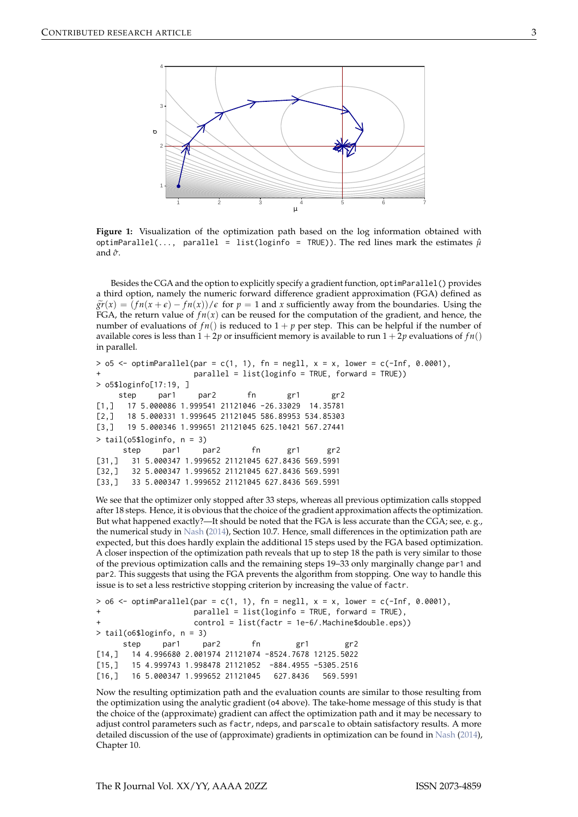<span id="page-2-1"></span><span id="page-2-0"></span>

**Figure 1:** Visualization of the optimization path based on the log information obtained with optimParallel(..., parallel = list(loginfo = TRUE)). The red lines mark the estimates  $\hat{\mu}$ and  $\hat{\sigma}$ .

Besides the CGA and the option to explicitly specify a gradient function, optimParallel() provides a third option, namely the numeric forward difference gradient approximation (FGA) defined as  $\tilde{gr}(x) = (fn(x+\epsilon) - fn(x))/\epsilon$  for  $p = 1$  and *x* sufficiently away from the boundaries. Using the FGA, the return value of  $fn(x)$  can be reused for the computation of the gradient, and hence, the number of evaluations of  $fn()$  is reduced to  $1 + p$  per step. This can be helpful if the number of available cores is less than  $1 + 2p$  or insufficient memory is available to run  $1 + 2p$  evaluations of  $fn()$ in parallel.

```
> o5 <- optimParallel(par = c(1, 1), fn = negll, x = x, lower = c(-Inf, 0.0001),
+ parallel = list(loginfo = TRUE, forward = TRUE))
> o5$loginfo[17:19, ]
    step par1 par2 fn gr1 gr2
[1,] 17 5.000086 1.999541 21121046 -26.33029 14.35781
[2,] 18 5.000331 1.999645 21121045 586.89953 534.85303
[3,] 19 5.000346 1.999651 21121045 625.10421 567.27441
> tail(o5$loginfo, n = 3)
     step par1 par2 fn gr1 gr2
[31,] 31 5.000347 1.999652 21121045 627.8436 569.5991
[32,] 32 5.000347 1.999652 21121045 627.8436 569.5991
[33,] 33 5.000347 1.999652 21121045 627.8436 569.5991
```
We see that the optimizer only stopped after 33 steps, whereas all previous optimization calls stopped after 18 steps. Hence, it is obvious that the choice of the gradient approximation affects the optimization. But what happened exactly?—It should be noted that the FGA is less accurate than the CGA; see, e. g., the numerical study in [Nash](#page-5-1) [\(2014\)](#page-5-1), Section 10.7. Hence, small differences in the optimization path are expected, but this does hardly explain the additional 15 steps used by the FGA based optimization. A closer inspection of the optimization path reveals that up to step 18 the path is very similar to those of the previous optimization calls and the remaining steps 19–33 only marginally change par1 and par2. This suggests that using the FGA prevents the algorithm from stopping. One way to handle this issue is to set a less restrictive stopping criterion by increasing the value of factr.

```
> 06 \leq optimParallel(par = c(1, 1), fn = negll, x = x, lower = c(-Inf, 0.0001),
+ parallel = list(loginfo = TRUE, forward = TRUE),
                   control = list(factor = 1e-6/.Machine$double.eps))> tail(o6$loginfo, n = 3)
     step par1 par2 fn gr1 gr2
[14,] 14 4.996680 2.001974 21121074 -8524.7678 12125.5022
[15,] 15 4.999743 1.998478 21121052 -884.4955 -5305.2516
[16,] 16 5.000347 1.999652 21121045 627.8436 569.5991
```
Now the resulting optimization path and the evaluation counts are similar to those resulting from the optimization using the analytic gradient (o4 above). The take-home message of this study is that the choice of the (approximate) gradient can affect the optimization path and it may be necessary to adjust control parameters such as factr, ndeps, and parscale to obtain satisfactory results. A more detailed discussion of the use of (approximate) gradients in optimization can be found in [Nash](#page-5-1) [\(2014\)](#page-5-1), Chapter 10.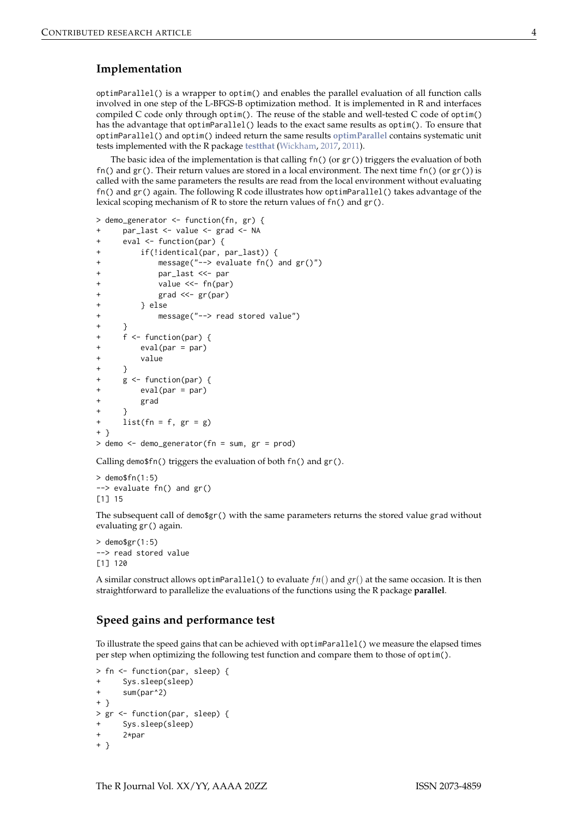# <span id="page-3-0"></span>**Implementation**

optimParallel() is a wrapper to optim() and enables the parallel evaluation of all function calls involved in one step of the L-BFGS-B optimization method. It is implemented in R and interfaces compiled C code only through optim(). The reuse of the stable and well-tested C code of optim() has the advantage that optimParallel() leads to the exact same results as optim(). To ensure that optimParallel() and optim() indeed return the same results **[optimParallel](https://CRAN.R-project.org/package=optimParallel)** contains systematic unit tests implemented with the R package **[testthat](https://CRAN.R-project.org/package=testthat)** [\(Wickham,](#page-5-7) [2017,](#page-5-7) [2011\)](#page-5-8).

The basic idea of the implementation is that calling  $fn() (or gr())$  triggers the evaluation of both fn() and  $gr()$ . Their return values are stored in a local environment. The next time fn() (or  $gr()$ ) is called with the same parameters the results are read from the local environment without evaluating fn() and gr() again. The following R code illustrates how optimParallel() takes advantage of the lexical scoping mechanism of R to store the return values of fn() and gr().

```
> demo_generator <- function(fn, gr) {
     par_last <- value <- grad <- NA
+ eval <- function(par) {
+ if(!identical(par, par_last)) {
+ message("--> evaluate fn() and gr()")
            par_last <<- par
            value <<- fn(par)
            grad \ll - gr(par)+ } else
+ message("--> read stored value")
+ }
+ f <- function(par) {
+ eval(par = par)
+ value
+ }
+ g <- function(par) {
        eval(par = par)+ grad
     \rightarrow+ list(fn = f, gr = g)+ }
> demo <- demo_generator(fn = sum, gr = prod)
```
Calling demo\$fn() triggers the evaluation of both fn() and gr().

 $>$  demosfn $(1.5)$ --> evaluate fn() and gr() [1] 15

The subsequent call of demo\$gr() with the same parameters returns the stored value grad without evaluating gr() again.

 $>$  demo\$gr(1:5) --> read stored value [1] 120

A similar construct allows optimParallel() to evaluate  $fn()$  and  $gr()$  at the same occasion. It is then straightforward to parallelize the evaluations of the functions using the R package **parallel**.

# **Speed gains and performance test**

To illustrate the speed gains that can be achieved with optimParallel() we measure the elapsed times per step when optimizing the following test function and compare them to those of optim().

```
> fn <- function(par, sleep) {
+ Sys.sleep(sleep)
+ sum(par^2)
+ }
> gr <- function(par, sleep) {
     Sys.sleep(sleep)
     2*par
+ }
```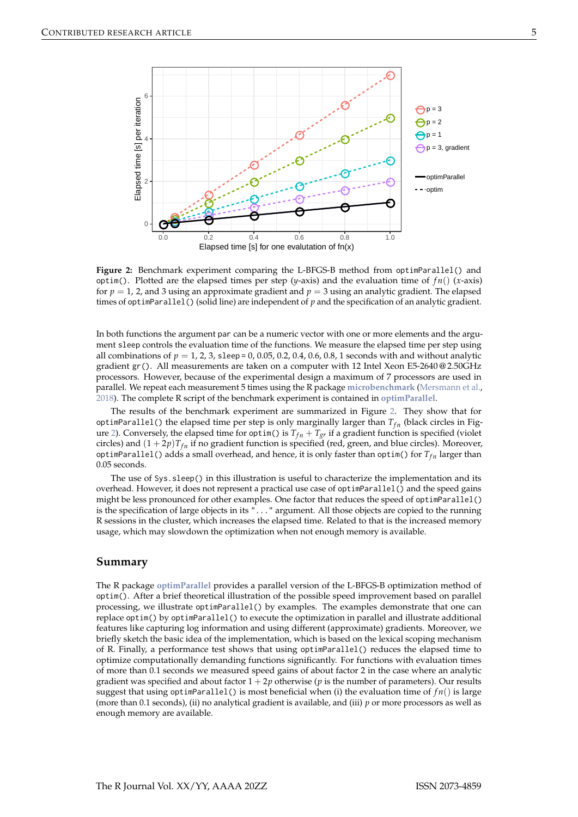<span id="page-4-1"></span><span id="page-4-0"></span>

**Figure 2:** Benchmark experiment comparing the L-BFGS-B method from optimParallel() and optim(). Plotted are the elapsed times per step (*y*-axis) and the evaluation time of  $fn()$  (*x*-axis) for  $p = 1$ , 2, and 3 using an approximate gradient and  $p = 3$  using an analytic gradient. The elapsed times of optimParallel() (solid line) are independent of *p* and the specification of an analytic gradient.

In both functions the argument par can be a numeric vector with one or more elements and the argument sleep controls the evaluation time of the functions. We measure the elapsed time per step using all combinations of  $p = 1, 2, 3$ , sleep = 0, 0.05, 0.2, 0.4, 0.6, 0.8, 1 seconds with and without analytic gradient gr(). All measurements are taken on a computer with 12 Intel Xeon E5-2640 @ 2.50GHz processors. However, because of the experimental design a maximum of 7 processors are used in parallel. We repeat each measurement 5 times using the R package **[microbenchmark](https://CRAN.R-project.org/package=microbenchmark)** [\(Mersmann et al.,](#page-5-9) [2018\)](#page-5-9). The complete R script of the benchmark experiment is contained in **[optimParallel](https://CRAN.R-project.org/package=optimParallel)**.

The results of the benchmark experiment are summarized in Figure [2.](#page-4-0) They show that for optimParallel() the elapsed time per step is only marginally larger than  $T_{fn}$  (black circles in Fig-ure [2\)](#page-4-0). Conversely, the elapsed time for optim() is  $T_{fn} + T_{gr}$  if a gradient function is specified (violet circles) and  $(1 + 2p)T_{fn}$  if no gradient function is specified (red, green, and blue circles). Moreover, optimParallel() adds a small overhead, and hence, it is only faster than optim() for  $T_{fn}$  larger than 0.05 seconds.

The use of Sys.sleep() in this illustration is useful to characterize the implementation and its overhead. However, it does not represent a practical use case of optimParallel() and the speed gains might be less pronounced for other examples. One factor that reduces the speed of optimParallel() is the specification of large objects in its "..." argument. All those objects are copied to the running R sessions in the cluster, which increases the elapsed time. Related to that is the increased memory usage, which may slowdown the optimization when not enough memory is available.

#### **Summary**

The R package **[optimParallel](https://CRAN.R-project.org/package=optimParallel)** provides a parallel version of the L-BFGS-B optimization method of optim(). After a brief theoretical illustration of the possible speed improvement based on parallel processing, we illustrate optimParallel() by examples. The examples demonstrate that one can replace optim() by optimParallel() to execute the optimization in parallel and illustrate additional features like capturing log information and using different (approximate) gradients. Moreover, we briefly sketch the basic idea of the implementation, which is based on the lexical scoping mechanism of R. Finally, a performance test shows that using optimParallel() reduces the elapsed time to optimize computationally demanding functions significantly. For functions with evaluation times of more than 0.1 seconds we measured speed gains of about factor 2 in the case where an analytic gradient was specified and about factor  $1 + 2p$  otherwise ( $p$  is the number of parameters). Our results suggest that using optimParallel() is most beneficial when (i) the evaluation time of  $fn()$  is large (more than 0.1 seconds), (ii) no analytical gradient is available, and (iii) *p* or more processors as well as enough memory are available.